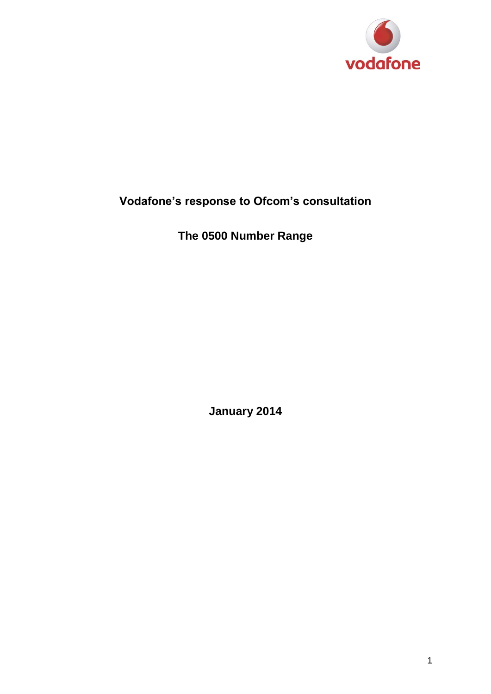

## **Vodafone's response to Ofcom's consultation**

**The 0500 Number Range**

**January 2014**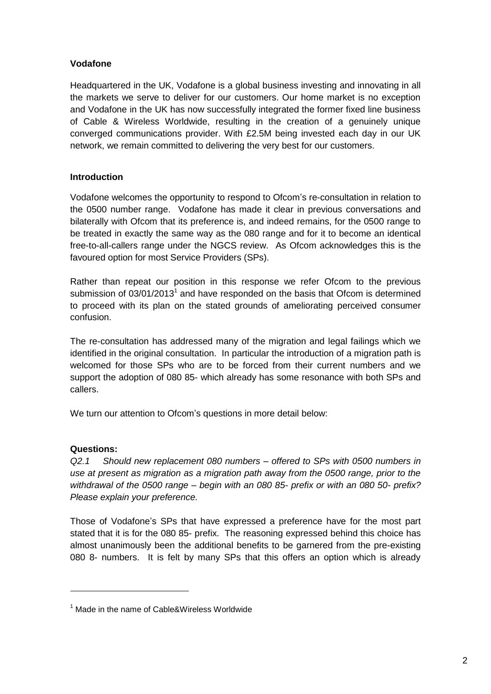## **Vodafone**

Headquartered in the UK, Vodafone is a global business investing and innovating in all the markets we serve to deliver for our customers. Our home market is no exception and Vodafone in the UK has now successfully integrated the former fixed line business of Cable & Wireless Worldwide, resulting in the creation of a genuinely unique converged communications provider. With £2.5M being invested each day in our UK network, we remain committed to delivering the very best for our customers.

## **Introduction**

Vodafone welcomes the opportunity to respond to Ofcom's re-consultation in relation to the 0500 number range. Vodafone has made it clear in previous conversations and bilaterally with Ofcom that its preference is, and indeed remains, for the 0500 range to be treated in exactly the same way as the 080 range and for it to become an identical free-to-all-callers range under the NGCS review. As Ofcom acknowledges this is the favoured option for most Service Providers (SPs).

Rather than repeat our position in this response we refer Ofcom to the previous submission of  $03/01/2013<sup>1</sup>$  and have responded on the basis that Ofcom is determined to proceed with its plan on the stated grounds of ameliorating perceived consumer confusion.

The re-consultation has addressed many of the migration and legal failings which we identified in the original consultation. In particular the introduction of a migration path is welcomed for those SPs who are to be forced from their current numbers and we support the adoption of 080 85- which already has some resonance with both SPs and callers.

We turn our attention to Ofcom's questions in more detail below:

## **Questions:**

-

*Q2.1 Should new replacement 080 numbers – offered to SPs with 0500 numbers in use at present as migration as a migration path away from the 0500 range, prior to the withdrawal of the 0500 range – begin with an 080 85- prefix or with an 080 50- prefix? Please explain your preference.*

Those of Vodafone's SPs that have expressed a preference have for the most part stated that it is for the 080 85- prefix. The reasoning expressed behind this choice has almost unanimously been the additional benefits to be garnered from the pre-existing 080 8- numbers. It is felt by many SPs that this offers an option which is already

 $1$  Made in the name of Cable&Wireless Worldwide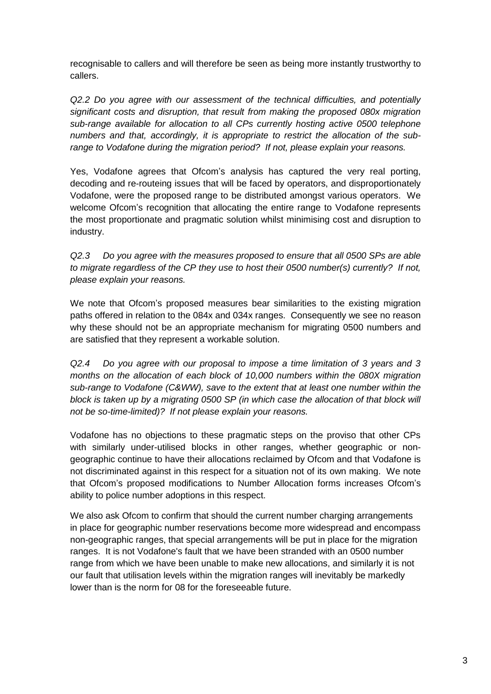recognisable to callers and will therefore be seen as being more instantly trustworthy to callers.

*Q2.2 Do you agree with our assessment of the technical difficulties, and potentially significant costs and disruption, that result from making the proposed 080x migration sub-range available for allocation to all CPs currently hosting active 0500 telephone numbers and that, accordingly, it is appropriate to restrict the allocation of the subrange to Vodafone during the migration period? If not, please explain your reasons.*

Yes, Vodafone agrees that Ofcom's analysis has captured the very real porting, decoding and re-routeing issues that will be faced by operators, and disproportionately Vodafone, were the proposed range to be distributed amongst various operators. We welcome Ofcom's recognition that allocating the entire range to Vodafone represents the most proportionate and pragmatic solution whilst minimising cost and disruption to industry.

*Q2.3 Do you agree with the measures proposed to ensure that all 0500 SPs are able to migrate regardless of the CP they use to host their 0500 number(s) currently? If not, please explain your reasons.*

We note that Ofcom's proposed measures bear similarities to the existing migration paths offered in relation to the 084x and 034x ranges. Consequently we see no reason why these should not be an appropriate mechanism for migrating 0500 numbers and are satisfied that they represent a workable solution.

*Q2.4 Do you agree with our proposal to impose a time limitation of 3 years and 3 months on the allocation of each block of 10,000 numbers within the 080X migration sub-range to Vodafone (C&WW), save to the extent that at least one number within the block is taken up by a migrating 0500 SP (in which case the allocation of that block will not be so-time-limited)? If not please explain your reasons.*

Vodafone has no objections to these pragmatic steps on the proviso that other CPs with similarly under-utilised blocks in other ranges, whether geographic or nongeographic continue to have their allocations reclaimed by Ofcom and that Vodafone is not discriminated against in this respect for a situation not of its own making. We note that Ofcom's proposed modifications to Number Allocation forms increases Ofcom's ability to police number adoptions in this respect.

We also ask Ofcom to confirm that should the current number charging arrangements in place for geographic number reservations become more widespread and encompass non-geographic ranges, that special arrangements will be put in place for the migration ranges. It is not Vodafone's fault that we have been stranded with an 0500 number range from which we have been unable to make new allocations, and similarly it is not our fault that utilisation levels within the migration ranges will inevitably be markedly lower than is the norm for 08 for the foreseeable future.